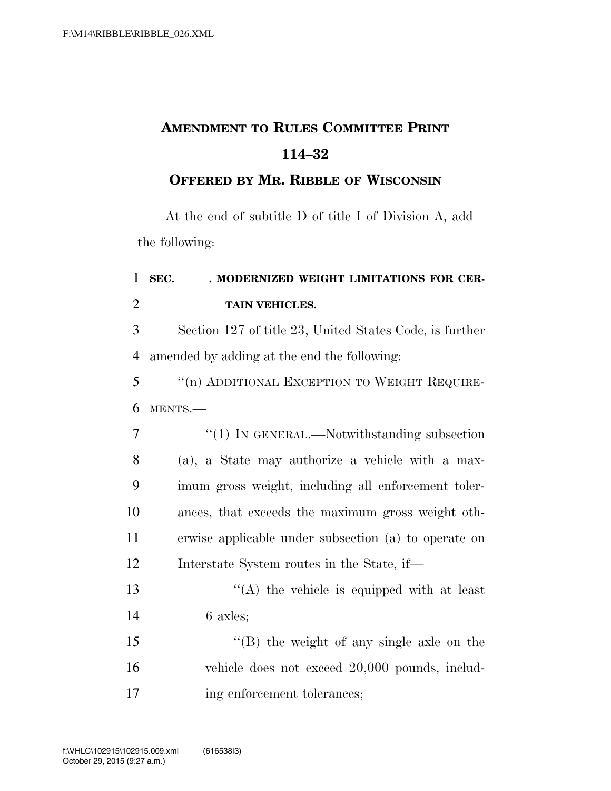## **AMENDMENT TO RULES COMMITTEE PRINT 114–32**

## **OFFERED BY MR. RIBBLE OF WISCONSIN**

At the end of subtitle D of title I of Division A, add the following:

## 1 SEC. MODERNIZED WEIGHT LIMITATIONS FOR CER-2 **TAIN VEHICLES.**

3 Section 127 of title 23, United States Code, is further 4 amended by adding at the end the following:

5 ''(n) ADDITIONAL EXCEPTION TO WEIGHT REQUIRE-6 MENTS.—

|    | $\lq(1)$ In GENERAL.—Notwithstanding subsection      |
|----|------------------------------------------------------|
| 8  | (a), a State may authorize a vehicle with a max-     |
| 9  | imum gross weight, including all enforcement toler-  |
| 10 | ances, that exceeds the maximum gross weight oth-    |
| 11 | erwise applicable under subsection (a) to operate on |
| 12 | Interstate System routes in the State, if—           |

13  $\langle (A)$  the vehicle is equipped with at least 14 6 axles;

15 ''(B) the weight of any single axle on the 16 vehicle does not exceed 20,000 pounds, includ-17 ing enforcement tolerances;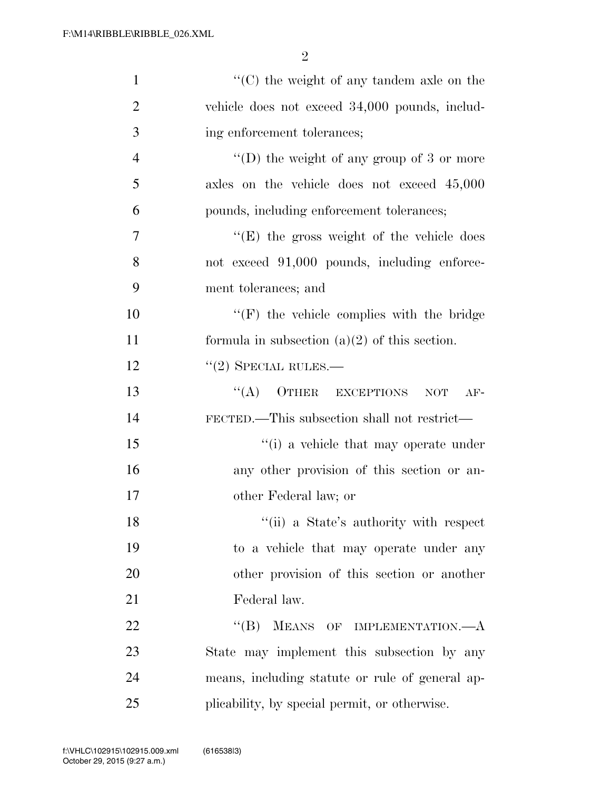| $\mathbf{1}$   | $\cdot$ (C) the weight of any tandem axle on the        |
|----------------|---------------------------------------------------------|
| $\overline{2}$ | vehicle does not exceed 34,000 pounds, includ-          |
| 3              | ing enforcement tolerances;                             |
| $\overline{4}$ | "(D) the weight of any group of $3$ or more             |
| 5              | axles on the vehicle does not exceed 45,000             |
| 6              | pounds, including enforcement tolerances;               |
| 7              | " $(E)$ the gross weight of the vehicle does"           |
| 8              | not exceed 91,000 pounds, including enforce-            |
| 9              | ment tolerances; and                                    |
| 10             | $\lq\lq(F)$ the vehicle complies with the bridge        |
| 11             | formula in subsection $(a)(2)$ of this section.         |
| 12             | $``(2)$ SPECIAL RULES.—                                 |
| 13             | $\lq\lq (A)$<br>OTHER EXCEPTIONS<br>$\rm{NOT}$<br>$AF-$ |
| 14             | FECTED.—This subsection shall not restrict—             |
| 15             | "(i) a vehicle that may operate under                   |
| 16             | any other provision of this section or an-              |
| 17             | other Federal law; or                                   |
| 18             | "(ii) a State's authority with respect                  |
| 19             | to a vehicle that may operate under any                 |
| 20             | other provision of this section or another              |
| 21             | Federal law.                                            |
| 22             | ``(B)<br>MEANS OF IMPLEMENTATION.- A                    |
| 23             | State may implement this subsection by any              |
| 24             | means, including statute or rule of general ap-         |
| 25             | plicability, by special permit, or otherwise.           |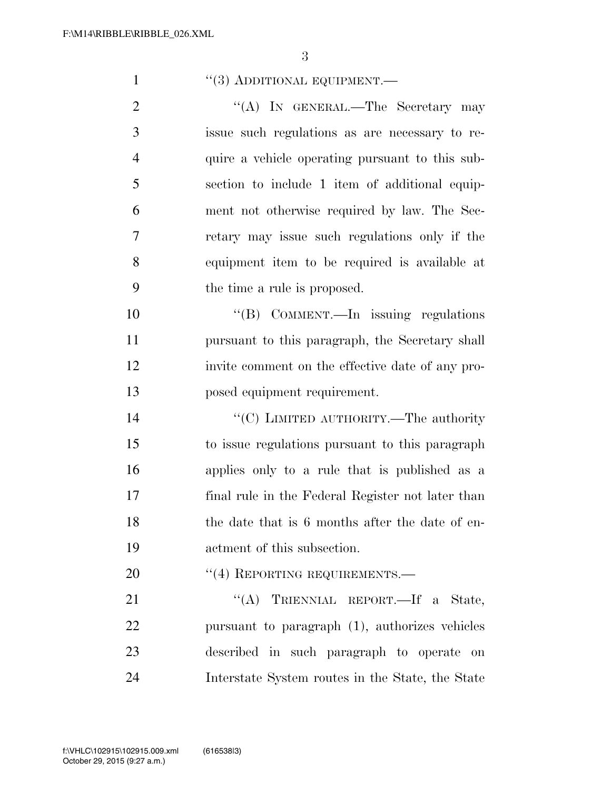| $\cdot$ (3) ADDITIONAL EQUIPMENT.— |  |
|------------------------------------|--|
|------------------------------------|--|

2 "(A) IN GENERAL.—The Secretary may issue such regulations as are necessary to re- quire a vehicle operating pursuant to this sub- section to include 1 item of additional equip- ment not otherwise required by law. The Sec- retary may issue such regulations only if the equipment item to be required is available at the time a rule is proposed.

10 ''(B) COMMENT.—In issuing regulations pursuant to this paragraph, the Secretary shall invite comment on the effective date of any pro-posed equipment requirement.

 $C(C)$  LIMITED AUTHORITY.—The authority to issue regulations pursuant to this paragraph applies only to a rule that is published as a final rule in the Federal Register not later than 18 the date that is 6 months after the date of en-actment of this subsection.

20 <sup>"</sup>(4) REPORTING REQUIREMENTS.

21 "'(A) TRIENNIAL REPORT.—If a State, pursuant to paragraph (1), authorizes vehicles described in such paragraph to operate on Interstate System routes in the State, the State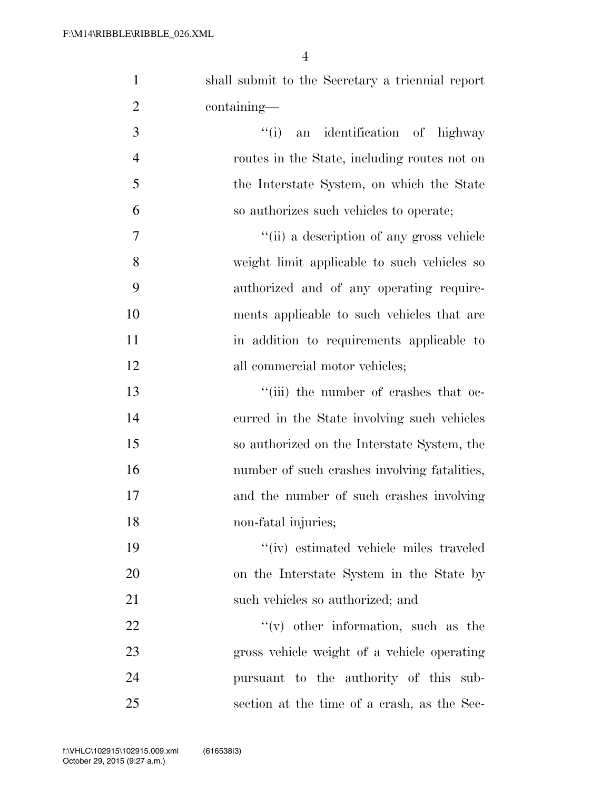shall submit to the Secretary a triennial report containing—

3 ''(i) an identification of highway routes in the State, including routes not on the Interstate System, on which the State so authorizes such vehicles to operate;

 ''(ii) a description of any gross vehicle weight limit applicable to such vehicles so authorized and of any operating require- ments applicable to such vehicles that are in addition to requirements applicable to 12 all commercial motor vehicles;

 $\frac{1}{2}$  ''(iii) the number of crashes that oc- curred in the State involving such vehicles so authorized on the Interstate System, the 16 number of such crashes involving fatalities, and the number of such crashes involving non-fatal injuries;

 ''(iv) estimated vehicle miles traveled on the Interstate System in the State by 21 such vehicles so authorized; and

  $"$  (v) other information, such as the gross vehicle weight of a vehicle operating pursuant to the authority of this sub-section at the time of a crash, as the Sec-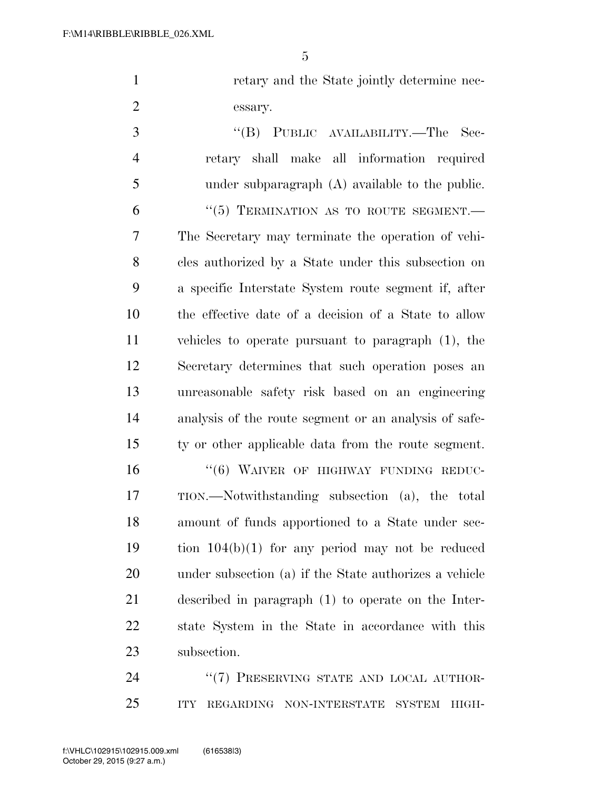1 retary and the State jointly determine nec-essary.

 ''(B) PUBLIC AVAILABILITY.—The Sec- retary shall make all information required under subparagraph (A) available to the public. "(5) TERMINATION AS TO ROUTE SEGMENT.— The Secretary may terminate the operation of vehi- cles authorized by a State under this subsection on a specific Interstate System route segment if, after the effective date of a decision of a State to allow vehicles to operate pursuant to paragraph (1), the Secretary determines that such operation poses an unreasonable safety risk based on an engineering analysis of the route segment or an analysis of safe- ty or other applicable data from the route segment. 16 "(6) WAIVER OF HIGHWAY FUNDING REDUC-

 TION.—Notwithstanding subsection (a), the total amount of funds apportioned to a State under sec- tion 104(b)(1) for any period may not be reduced under subsection (a) if the State authorizes a vehicle described in paragraph (1) to operate on the Inter- state System in the State in accordance with this subsection.

24 "(7) PRESERVING STATE AND LOCAL AUTHOR-ITY REGARDING NON-INTERSTATE SYSTEM HIGH-